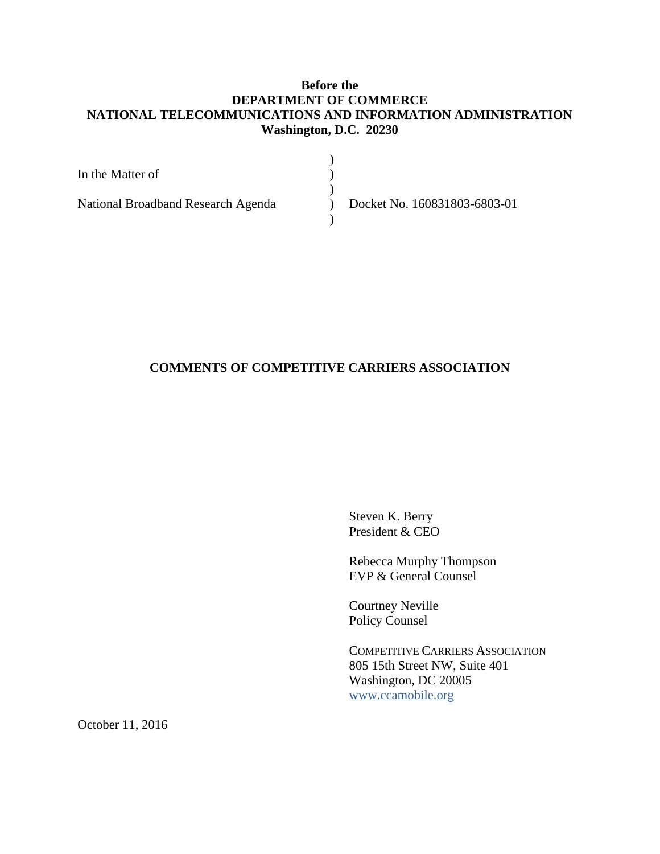# **Before the DEPARTMENT OF COMMERCE NATIONAL TELECOMMUNICATIONS AND INFORMATION ADMINISTRATION Washington, D.C. 20230**

| In the Matter of                   |                              |
|------------------------------------|------------------------------|
|                                    |                              |
| National Broadband Research Agenda | Docket No. 160831803-6803-01 |
|                                    |                              |

# **COMMENTS OF COMPETITIVE CARRIERS ASSOCIATION**

Steven K. Berry President & CEO

Rebecca Murphy Thompson EVP & General Counsel

Courtney Neville Policy Counsel

COMPETITIVE CARRIERS ASSOCIATION 805 15th Street NW, Suite 401 Washington, DC 20005 [www.ccamobile.org](http://www.ccamobile.org/)

October 11, 2016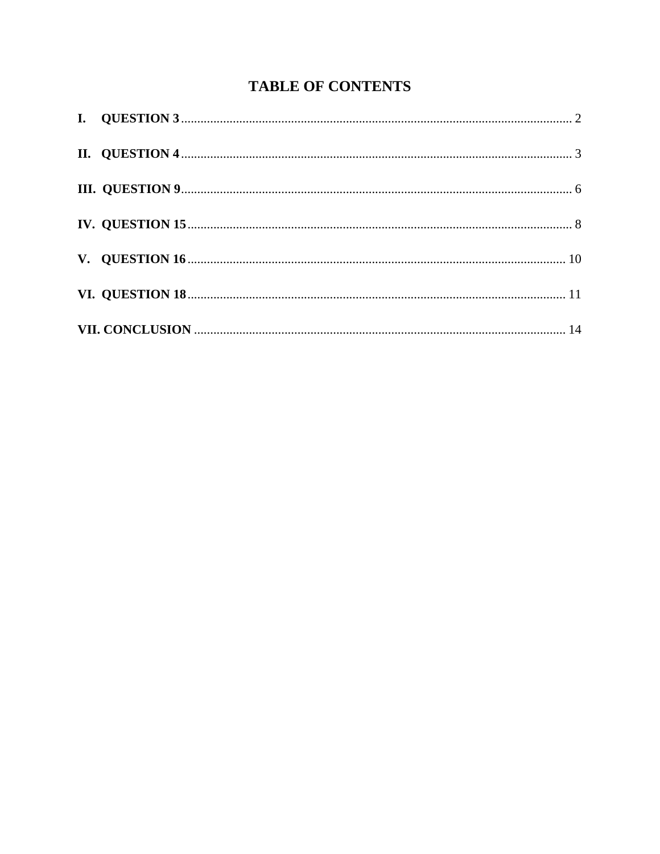# **TABLE OF CONTENTS**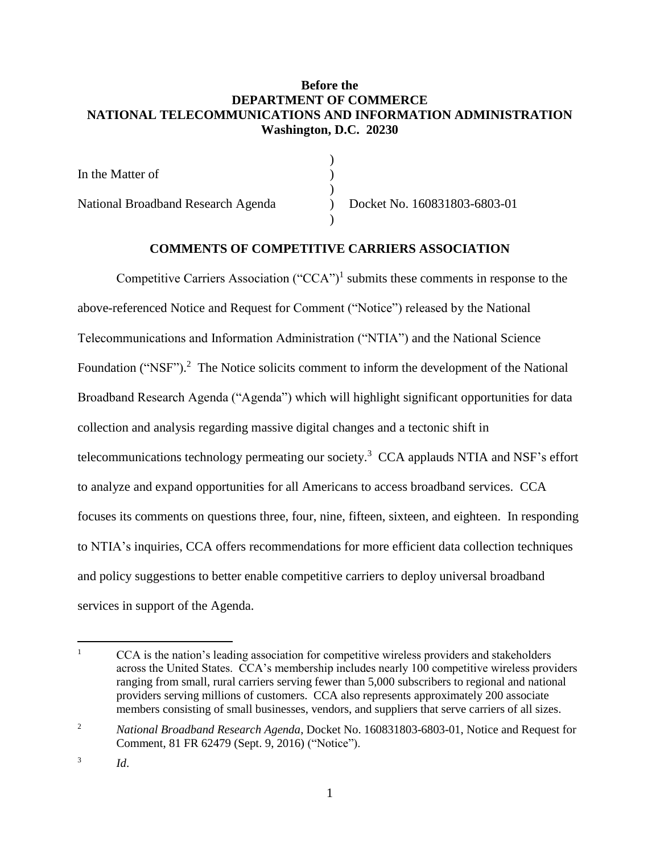# **Before the DEPARTMENT OF COMMERCE NATIONAL TELECOMMUNICATIONS AND INFORMATION ADMINISTRATION Washington, D.C. 20230**

| In the Matter of                   |                              |  |
|------------------------------------|------------------------------|--|
|                                    |                              |  |
| National Broadband Research Agenda | Docket No. 160831803-6803-01 |  |
|                                    |                              |  |

# **COMMENTS OF COMPETITIVE CARRIERS ASSOCIATION**

Competitive Carriers Association  $("CCA")^1$  submits these comments in response to the above-referenced Notice and Request for Comment ("Notice") released by the National Telecommunications and Information Administration ("NTIA") and the National Science Foundation ("NSF").<sup>2</sup> The Notice solicits comment to inform the development of the National Broadband Research Agenda ("Agenda") which will highlight significant opportunities for data collection and analysis regarding massive digital changes and a tectonic shift in telecommunications technology permeating our society.<sup>3</sup> CCA applauds NTIA and NSF's effort to analyze and expand opportunities for all Americans to access broadband services. CCA focuses its comments on questions three, four, nine, fifteen, sixteen, and eighteen. In responding to NTIA's inquiries, CCA offers recommendations for more efficient data collection techniques and policy suggestions to better enable competitive carriers to deploy universal broadband services in support of the Agenda.

*Id*.

<sup>&</sup>lt;sup>1</sup> CCA is the nation's leading association for competitive wireless providers and stakeholders across the United States. CCA's membership includes nearly 100 competitive wireless providers ranging from small, rural carriers serving fewer than 5,000 subscribers to regional and national providers serving millions of customers. CCA also represents approximately 200 associate members consisting of small businesses, vendors, and suppliers that serve carriers of all sizes.

<sup>2</sup> *National Broadband Research Agenda*, Docket No. 160831803-6803-01, Notice and Request for Comment, 81 FR 62479 (Sept. 9, 2016) ("Notice").

<sup>3</sup>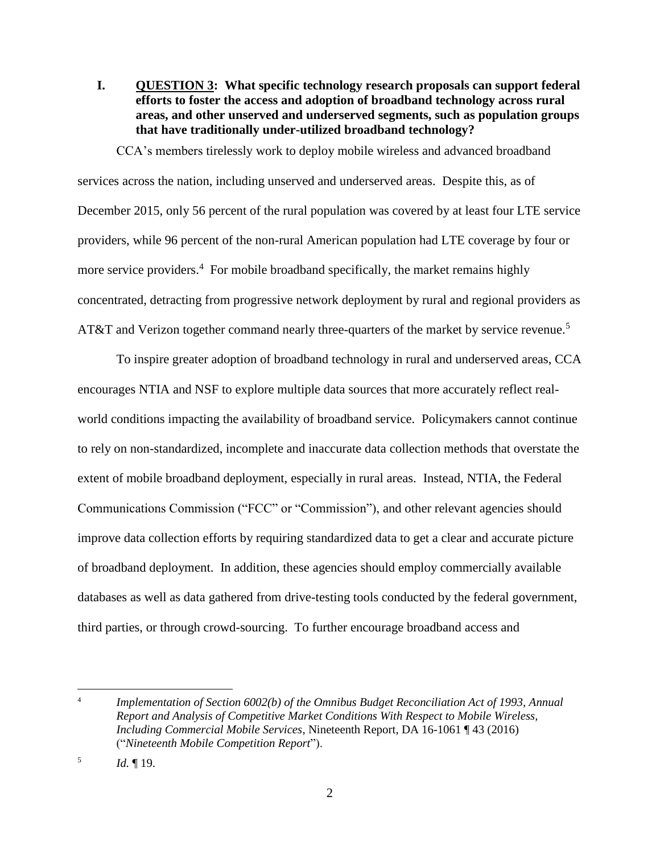<span id="page-3-0"></span>**I. QUESTION 3: What specific technology research proposals can support federal efforts to foster the access and adoption of broadband technology across rural areas, and other unserved and underserved segments, such as population groups that have traditionally under-utilized broadband technology?**

CCA's members tirelessly work to deploy mobile wireless and advanced broadband services across the nation, including unserved and underserved areas. Despite this, as of December 2015, only 56 percent of the rural population was covered by at least four LTE service providers, while 96 percent of the non-rural American population had LTE coverage by four or more service providers.<sup>4</sup> For mobile broadband specifically, the market remains highly concentrated, detracting from progressive network deployment by rural and regional providers as AT&T and Verizon together command nearly three-quarters of the market by service revenue.<sup>5</sup>

To inspire greater adoption of broadband technology in rural and underserved areas, CCA encourages NTIA and NSF to explore multiple data sources that more accurately reflect realworld conditions impacting the availability of broadband service. Policymakers cannot continue to rely on non-standardized, incomplete and inaccurate data collection methods that overstate the extent of mobile broadband deployment, especially in rural areas. Instead, NTIA, the Federal Communications Commission ("FCC" or "Commission"), and other relevant agencies should improve data collection efforts by requiring standardized data to get a clear and accurate picture of broadband deployment. In addition, these agencies should employ commercially available databases as well as data gathered from drive-testing tools conducted by the federal government, third parties, or through crowd-sourcing. To further encourage broadband access and

<sup>4</sup> *Implementation of Section 6002(b) of the Omnibus Budget Reconciliation Act of 1993, Annual Report and Analysis of Competitive Market Conditions With Respect to Mobile Wireless, Including Commercial Mobile Services*, Nineteenth Report, DA 16-1061 ¶ 43 (2016) ("*Nineteenth Mobile Competition Report*").

<sup>5</sup> *Id.* ¶ 19.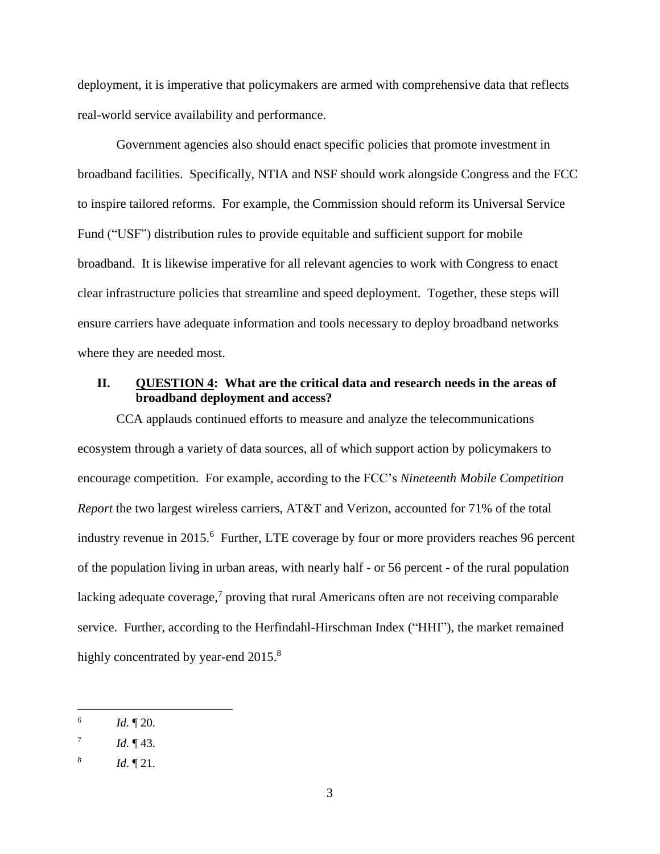deployment, it is imperative that policymakers are armed with comprehensive data that reflects real-world service availability and performance.

Government agencies also should enact specific policies that promote investment in broadband facilities. Specifically, NTIA and NSF should work alongside Congress and the FCC to inspire tailored reforms. For example, the Commission should reform its Universal Service Fund ("USF") distribution rules to provide equitable and sufficient support for mobile broadband. It is likewise imperative for all relevant agencies to work with Congress to enact clear infrastructure policies that streamline and speed deployment. Together, these steps will ensure carriers have adequate information and tools necessary to deploy broadband networks where they are needed most.

#### <span id="page-4-0"></span>**II. QUESTION 4: What are the critical data and research needs in the areas of broadband deployment and access?**

CCA applauds continued efforts to measure and analyze the telecommunications ecosystem through a variety of data sources, all of which support action by policymakers to encourage competition. For example, according to the FCC's *Nineteenth Mobile Competition Report* the two largest wireless carriers, AT&T and Verizon, accounted for 71% of the total industry revenue in 2015.<sup>6</sup> Further, LTE coverage by four or more providers reaches 96 percent of the population living in urban areas, with nearly half - or 56 percent - of the rural population lacking adequate coverage,<sup>7</sup> proving that rural Americans often are not receiving comparable service. Further, according to the Herfindahl-Hirschman Index ("HHI"), the market remained highly concentrated by year-end  $2015.^8$ 

<sup>6</sup> *Id.* ¶ 20.

<sup>7</sup> *Id.* ¶ 43.

<sup>8</sup> *Id*. ¶ 21.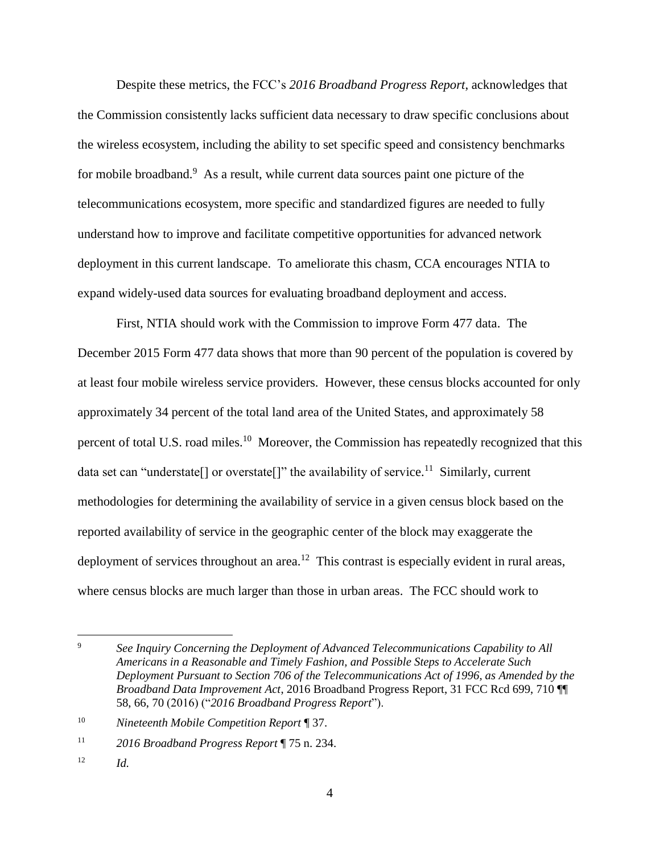Despite these metrics, the FCC's *2016 Broadband Progress Report*, acknowledges that the Commission consistently lacks sufficient data necessary to draw specific conclusions about the wireless ecosystem, including the ability to set specific speed and consistency benchmarks for mobile broadband.<sup>9</sup> As a result, while current data sources paint one picture of the telecommunications ecosystem, more specific and standardized figures are needed to fully understand how to improve and facilitate competitive opportunities for advanced network deployment in this current landscape. To ameliorate this chasm, CCA encourages NTIA to expand widely-used data sources for evaluating broadband deployment and access.

First, NTIA should work with the Commission to improve Form 477 data. The December 2015 Form 477 data shows that more than 90 percent of the population is covered by at least four mobile wireless service providers. However, these census blocks accounted for only approximately 34 percent of the total land area of the United States, and approximately 58 percent of total U.S. road miles.<sup>10</sup> Moreover, the Commission has repeatedly recognized that this data set can "understate[] or overstate[]" the availability of service.<sup>11</sup> Similarly, current methodologies for determining the availability of service in a given census block based on the reported availability of service in the geographic center of the block may exaggerate the deployment of services throughout an area.<sup>12</sup> This contrast is especially evident in rural areas, where census blocks are much larger than those in urban areas. The FCC should work to

<sup>9</sup> *See Inquiry Concerning the Deployment of Advanced Telecommunications Capability to All Americans in a Reasonable and Timely Fashion, and Possible Steps to Accelerate Such Deployment Pursuant to Section 706 of the Telecommunications Act of 1996, as Amended by the Broadband Data Improvement Act*, 2016 Broadband Progress Report, 31 FCC Rcd 699, 710 ¶¶ 58, 66, 70 (2016) ("*2016 Broadband Progress Report*").

<sup>10</sup> *Nineteenth Mobile Competition Report* ¶ 37.

<sup>11</sup> *2016 Broadband Progress Report* ¶ 75 n. 234.

<sup>12</sup> *Id.*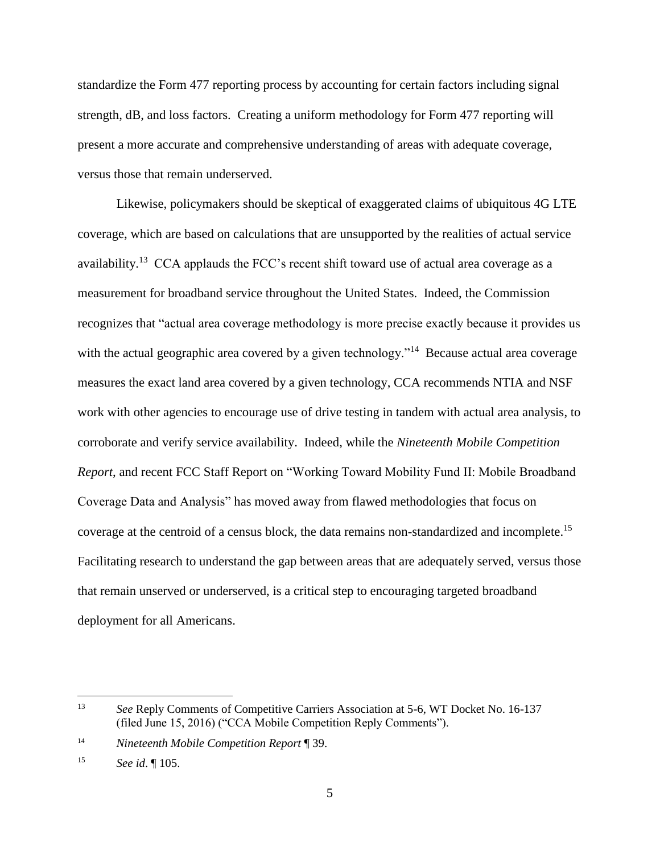standardize the Form 477 reporting process by accounting for certain factors including signal strength, dB, and loss factors. Creating a uniform methodology for Form 477 reporting will present a more accurate and comprehensive understanding of areas with adequate coverage, versus those that remain underserved.

Likewise, policymakers should be skeptical of exaggerated claims of ubiquitous 4G LTE coverage, which are based on calculations that are unsupported by the realities of actual service availability.<sup>13</sup> CCA applauds the FCC's recent shift toward use of actual area coverage as a measurement for broadband service throughout the United States. Indeed, the Commission recognizes that "actual area coverage methodology is more precise exactly because it provides us with the actual geographic area covered by a given technology."<sup>14</sup> Because actual area coverage measures the exact land area covered by a given technology, CCA recommends NTIA and NSF work with other agencies to encourage use of drive testing in tandem with actual area analysis, to corroborate and verify service availability. Indeed, while the *Nineteenth Mobile Competition Report*, and recent FCC Staff Report on "Working Toward Mobility Fund II: Mobile Broadband Coverage Data and Analysis" has moved away from flawed methodologies that focus on coverage at the centroid of a census block, the data remains non-standardized and incomplete.<sup>15</sup> Facilitating research to understand the gap between areas that are adequately served, versus those that remain unserved or underserved, is a critical step to encouraging targeted broadband deployment for all Americans.

<sup>13</sup> *See* Reply Comments of Competitive Carriers Association at 5-6, WT Docket No. 16-137 (filed June 15, 2016) ("CCA Mobile Competition Reply Comments").

<sup>14</sup> *Nineteenth Mobile Competition Report* ¶ 39.

<sup>15</sup> *See id*. ¶ 105.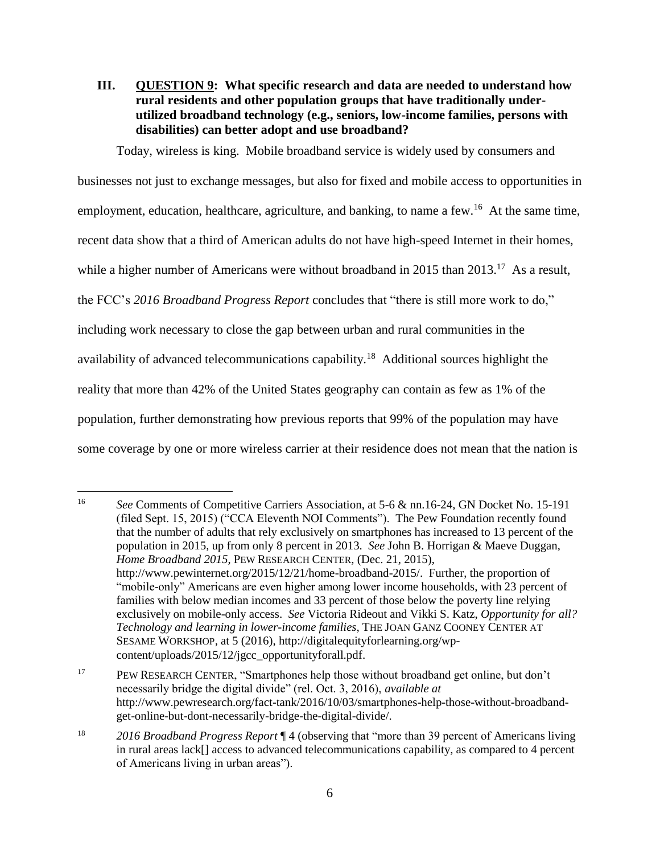# <span id="page-7-0"></span>**III. QUESTION 9: What specific research and data are needed to understand how rural residents and other population groups that have traditionally underutilized broadband technology (e.g., seniors, low-income families, persons with disabilities) can better adopt and use broadband?**

Today, wireless is king. Mobile broadband service is widely used by consumers and businesses not just to exchange messages, but also for fixed and mobile access to opportunities in employment, education, healthcare, agriculture, and banking, to name a few.<sup>16</sup> At the same time, recent data show that a third of American adults do not have high-speed Internet in their homes, while a higher number of Americans were without broadband in 2015 than  $2013$ .<sup>17</sup> As a result, the FCC's *2016 Broadband Progress Report* concludes that "there is still more work to do," including work necessary to close the gap between urban and rural communities in the availability of advanced telecommunications capability.<sup>18</sup> Additional sources highlight the reality that more than 42% of the United States geography can contain as few as 1% of the population, further demonstrating how previous reports that 99% of the population may have some coverage by one or more wireless carrier at their residence does not mean that the nation is

<sup>16</sup> *See* Comments of Competitive Carriers Association, at 5-6 & nn.16-24, GN Docket No. 15-191 (filed Sept. 15, 2015) ("CCA Eleventh NOI Comments"). The Pew Foundation recently found that the number of adults that rely exclusively on smartphones has increased to 13 percent of the population in 2015, up from only 8 percent in 2013. *See* John B. Horrigan & Maeve Duggan, *Home Broadband 2015*, PEW RESEARCH CENTER, (Dec. 21, 2015), http://www.pewinternet.org/2015/12/21/home-broadband-2015/. Further, the proportion of "mobile-only" Americans are even higher among lower income households, with 23 percent of families with below median incomes and 33 percent of those below the poverty line relying exclusively on mobile-only access. *See* Victoria Rideout and Vikki S. Katz, *Opportunity for all? Technology and learning in lower-income families*, THE JOAN GANZ COONEY CENTER AT SESAME WORKSHOP, at 5 (2016), http://digitalequityforlearning.org/wpcontent/uploads/2015/12/jgcc\_opportunityforall.pdf.

<sup>&</sup>lt;sup>17</sup> PEW RESEARCH CENTER, "Smartphones help those without broadband get online, but don't necessarily bridge the digital divide" (rel. Oct. 3, 2016), *available at* http://www.pewresearch.org/fact-tank/2016/10/03/smartphones-help-those-without-broadbandget-online-but-dont-necessarily-bridge-the-digital-divide/.

<sup>18</sup> *2016 Broadband Progress Report* ¶ 4 (observing that "more than 39 percent of Americans living in rural areas lack[] access to advanced telecommunications capability, as compared to 4 percent of Americans living in urban areas").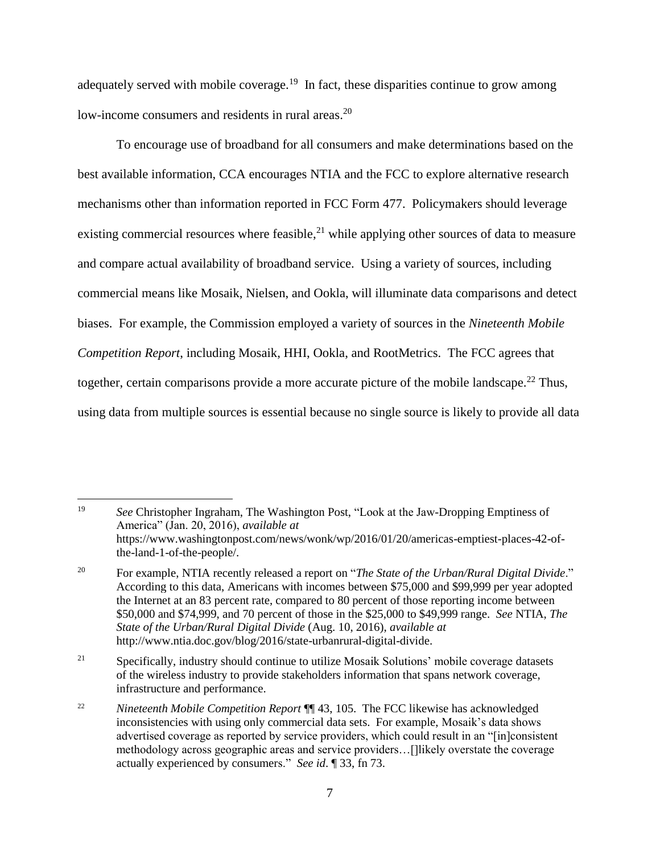adequately served with mobile coverage.<sup>19</sup> In fact, these disparities continue to grow among low-income consumers and residents in rural areas.<sup>20</sup>

To encourage use of broadband for all consumers and make determinations based on the best available information, CCA encourages NTIA and the FCC to explore alternative research mechanisms other than information reported in FCC Form 477. Policymakers should leverage existing commercial resources where feasible, $^{21}$  while applying other sources of data to measure and compare actual availability of broadband service. Using a variety of sources, including commercial means like Mosaik, Nielsen, and Ookla, will illuminate data comparisons and detect biases. For example, the Commission employed a variety of sources in the *Nineteenth Mobile Competition Report*, including Mosaik, HHI, Ookla, and RootMetrics. The FCC agrees that together, certain comparisons provide a more accurate picture of the mobile landscape.<sup>22</sup> Thus, using data from multiple sources is essential because no single source is likely to provide all data

<sup>19</sup> *See* Christopher Ingraham, The Washington Post, "Look at the Jaw-Dropping Emptiness of America" (Jan. 20, 2016), *available at* https://www.washingtonpost.com/news/wonk/wp/2016/01/20/americas-emptiest-places-42-ofthe-land-1-of-the-people/.

<sup>20</sup> For example, NTIA recently released a report on "*The State of the Urban/Rural Digital Divide*." According to this data, Americans with incomes between \$75,000 and \$99,999 per year adopted the Internet at an 83 percent rate, compared to 80 percent of those reporting income between \$50,000 and \$74,999, and 70 percent of those in the \$25,000 to \$49,999 range. *See* NTIA, *The State of the Urban/Rural Digital Divide* (Aug. 10, 2016), *available at* http://www.ntia.doc.gov/blog/2016/state-urbanrural-digital-divide.

<sup>&</sup>lt;sup>21</sup> Specifically, industry should continue to utilize Mosaik Solutions' mobile coverage datasets of the wireless industry to provide stakeholders information that spans network coverage, infrastructure and performance.

<sup>22</sup> *Nineteenth Mobile Competition Report* ¶¶ 43, 105. The FCC likewise has acknowledged inconsistencies with using only commercial data sets. For example, Mosaik's data shows advertised coverage as reported by service providers, which could result in an "[in]consistent methodology across geographic areas and service providers…[]likely overstate the coverage actually experienced by consumers." *See id*. ¶ 33, fn 73.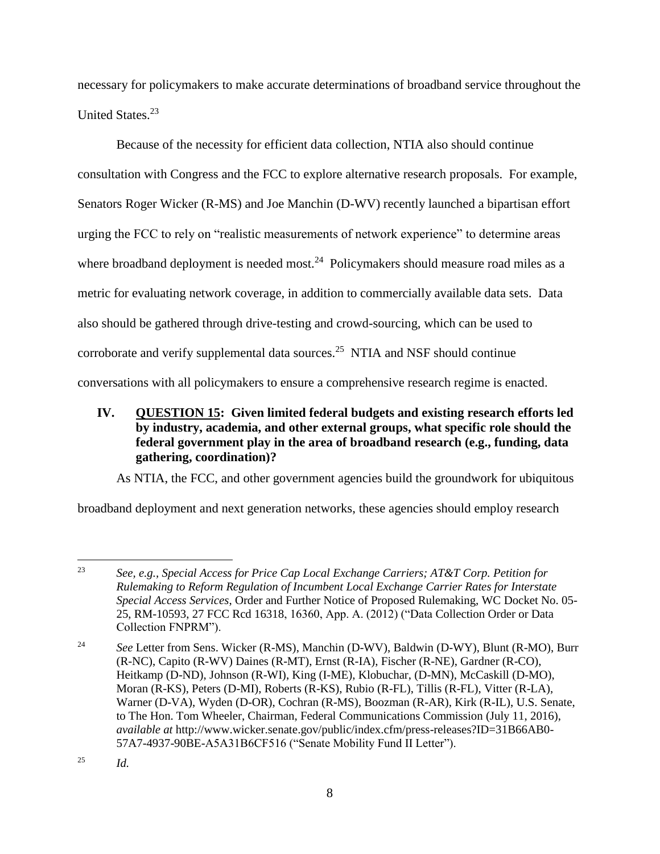necessary for policymakers to make accurate determinations of broadband service throughout the United States.<sup>23</sup>

Because of the necessity for efficient data collection, NTIA also should continue consultation with Congress and the FCC to explore alternative research proposals. For example, Senators Roger Wicker (R-MS) and Joe Manchin (D-WV) recently launched a bipartisan effort urging the FCC to rely on "realistic measurements of network experience" to determine areas where broadband deployment is needed most.<sup>24</sup> Policymakers should measure road miles as a metric for evaluating network coverage, in addition to commercially available data sets. Data also should be gathered through drive-testing and crowd-sourcing, which can be used to corroborate and verify supplemental data sources.<sup>25</sup> NTIA and NSF should continue conversations with all policymakers to ensure a comprehensive research regime is enacted.

<span id="page-9-0"></span>**IV. QUESTION 15: Given limited federal budgets and existing research efforts led by industry, academia, and other external groups, what specific role should the federal government play in the area of broadband research (e.g., funding, data gathering, coordination)?** 

As NTIA, the FCC, and other government agencies build the groundwork for ubiquitous

broadband deployment and next generation networks, these agencies should employ research

 $\overline{a}$ 23 *See, e.g., Special Access for Price Cap Local Exchange Carriers; AT&T Corp. Petition for Rulemaking to Reform Regulation of Incumbent Local Exchange Carrier Rates for Interstate Special Access Services*, Order and Further Notice of Proposed Rulemaking, WC Docket No. 05- 25, RM-10593, 27 FCC Rcd 16318, 16360, App. A. (2012) ("Data Collection Order or Data Collection FNPRM").

<sup>&</sup>lt;sup>24</sup> See Letter from Sens. Wicker (R-MS), Manchin (D-WV), Baldwin (D-WY), Blunt (R-MO), Burr (R-NC), Capito (R-WV) Daines (R-MT), Ernst (R-IA), Fischer (R-NE), Gardner (R-CO), Heitkamp (D-ND), Johnson (R-WI), King (I-ME), Klobuchar, (D-MN), McCaskill (D-MO), Moran (R-KS), Peters (D-MI), Roberts (R-KS), Rubio (R-FL), Tillis (R-FL), Vitter (R-LA), Warner (D-VA), Wyden (D-OR), Cochran (R-MS), Boozman (R-AR), Kirk (R-IL), U.S. Senate, to The Hon. Tom Wheeler, Chairman, Federal Communications Commission (July 11, 2016), *available at* http://www.wicker.senate.gov/public/index.cfm/press-releases?ID=31B66AB0- 57A7-4937-90BE-A5A31B6CF516 ("Senate Mobility Fund II Letter").

<sup>25</sup> *Id.*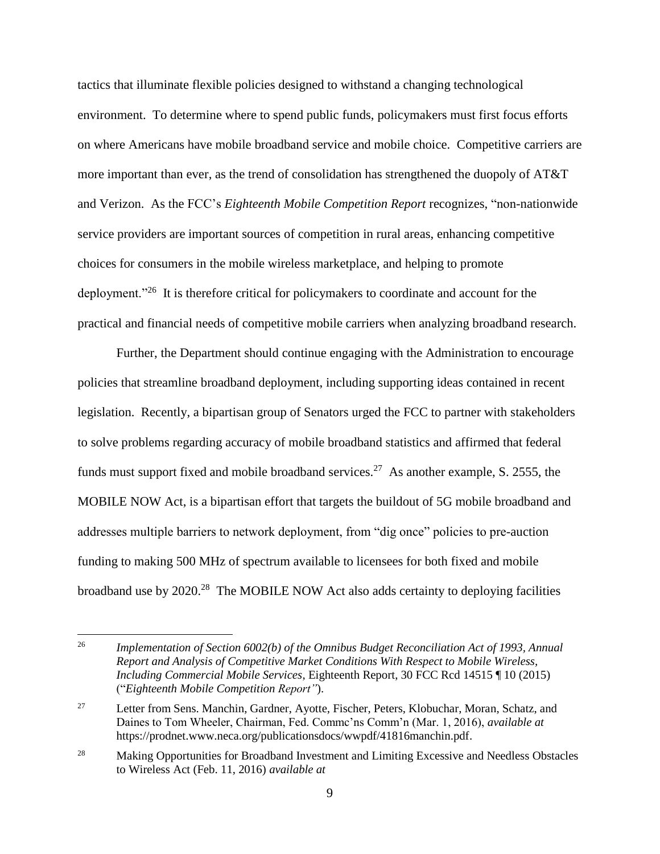tactics that illuminate flexible policies designed to withstand a changing technological environment. To determine where to spend public funds, policymakers must first focus efforts on where Americans have mobile broadband service and mobile choice. Competitive carriers are more important than ever, as the trend of consolidation has strengthened the duopoly of AT&T and Verizon. As the FCC's *Eighteenth Mobile Competition Report* recognizes, "non-nationwide service providers are important sources of competition in rural areas, enhancing competitive choices for consumers in the mobile wireless marketplace, and helping to promote deployment."<sup>26</sup> It is therefore critical for policymakers to coordinate and account for the practical and financial needs of competitive mobile carriers when analyzing broadband research.

Further, the Department should continue engaging with the Administration to encourage policies that streamline broadband deployment, including supporting ideas contained in recent legislation. Recently, a bipartisan group of Senators urged the FCC to partner with stakeholders to solve problems regarding accuracy of mobile broadband statistics and affirmed that federal funds must support fixed and mobile broadband services.<sup>27</sup> As another example, S. 2555, the MOBILE NOW Act, is a bipartisan effort that targets the buildout of 5G mobile broadband and addresses multiple barriers to network deployment, from "dig once" policies to pre-auction funding to making 500 MHz of spectrum available to licensees for both fixed and mobile broadband use by 2020.<sup>28</sup> The MOBILE NOW Act also adds certainty to deploying facilities

<sup>26</sup> *Implementation of Section 6002(b) of the Omnibus Budget Reconciliation Act of 1993, Annual Report and Analysis of Competitive Market Conditions With Respect to Mobile Wireless, Including Commercial Mobile Services*, Eighteenth Report, 30 FCC Rcd 14515 ¶ 10 (2015) ("*Eighteenth Mobile Competition Report"*).

<sup>&</sup>lt;sup>27</sup> Letter from Sens. Manchin, Gardner, Ayotte, Fischer, Peters, Klobuchar, Moran, Schatz, and Daines to Tom Wheeler, Chairman, Fed. Commc'ns Comm'n (Mar. 1, 2016), *available at* https://prodnet.www.neca.org/publicationsdocs/wwpdf/41816manchin.pdf.

<sup>&</sup>lt;sup>28</sup> Making Opportunities for Broadband Investment and Limiting Excessive and Needless Obstacles to Wireless Act (Feb. 11, 2016) *available at*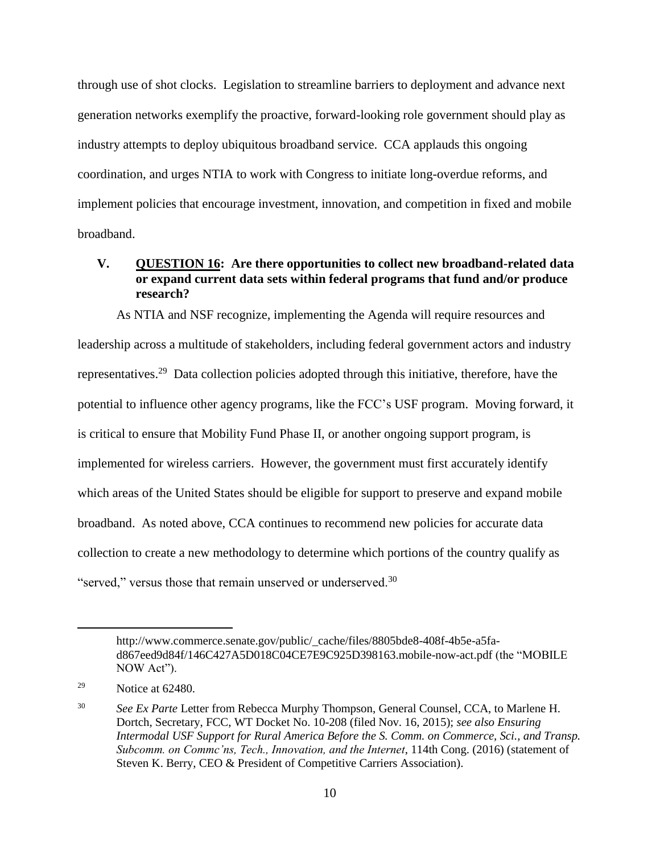through use of shot clocks. Legislation to streamline barriers to deployment and advance next generation networks exemplify the proactive, forward-looking role government should play as industry attempts to deploy ubiquitous broadband service. CCA applauds this ongoing coordination, and urges NTIA to work with Congress to initiate long-overdue reforms, and implement policies that encourage investment, innovation, and competition in fixed and mobile broadband.

### <span id="page-11-0"></span>**V. QUESTION 16: Are there opportunities to collect new broadband-related data or expand current data sets within federal programs that fund and/or produce research?**

As NTIA and NSF recognize, implementing the Agenda will require resources and leadership across a multitude of stakeholders, including federal government actors and industry representatives.<sup>29</sup> Data collection policies adopted through this initiative, therefore, have the potential to influence other agency programs, like the FCC's USF program. Moving forward, it is critical to ensure that Mobility Fund Phase II, or another ongoing support program, is implemented for wireless carriers. However, the government must first accurately identify which areas of the United States should be eligible for support to preserve and expand mobile broadband. As noted above, CCA continues to recommend new policies for accurate data collection to create a new methodology to determine which portions of the country qualify as "served," versus those that remain unserved or underserved.<sup>30</sup>

http://www.commerce.senate.gov/public/\_cache/files/8805bde8-408f-4b5e-a5fad867eed9d84f/146C427A5D018C04CE7E9C925D398163.mobile-now-act.pdf (the "MOBILE NOW Act").

<sup>&</sup>lt;sup>29</sup> Notice at  $62480$ .

<sup>30</sup> *See Ex Parte* Letter from Rebecca Murphy Thompson, General Counsel, CCA, to Marlene H. Dortch, Secretary, FCC, WT Docket No. 10-208 (filed Nov. 16, 2015); *see also Ensuring Intermodal USF Support for Rural America Before the S. Comm. on Commerce, Sci., and Transp. Subcomm. on Commc'ns, Tech., Innovation, and the Internet*, 114th Cong. (2016) (statement of Steven K. Berry, CEO & President of Competitive Carriers Association).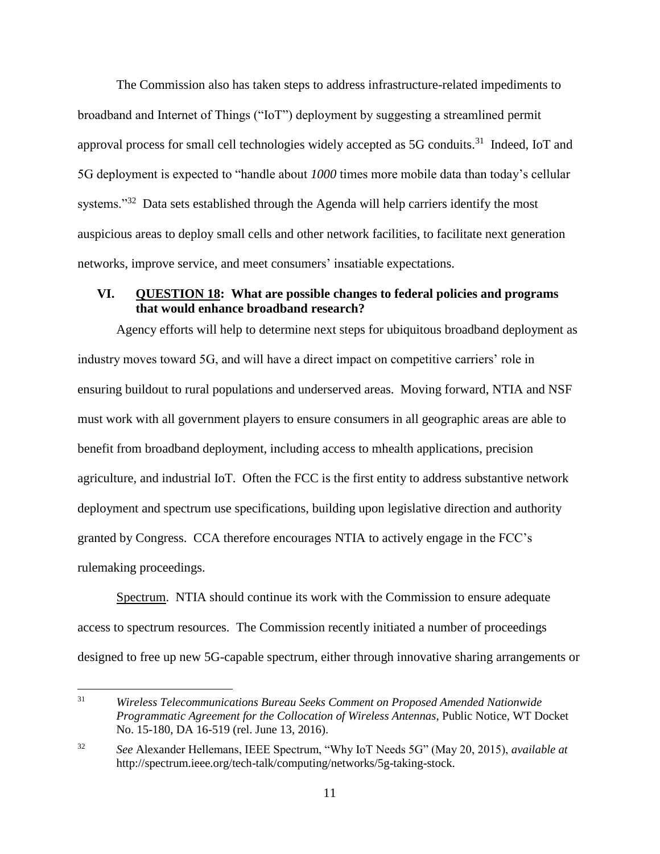The Commission also has taken steps to address infrastructure-related impediments to broadband and Internet of Things ("IoT") deployment by suggesting a streamlined permit approval process for small cell technologies widely accepted as  $5G$  conduits.<sup>31</sup> Indeed, IoT and 5G deployment is expected to "handle about *1000* times more mobile data than today's cellular systems."<sup>32</sup> Data sets established through the Agenda will help carriers identify the most auspicious areas to deploy small cells and other network facilities, to facilitate next generation networks, improve service, and meet consumers' insatiable expectations.

# <span id="page-12-0"></span>**VI. QUESTION 18: What are possible changes to federal policies and programs that would enhance broadband research?**

Agency efforts will help to determine next steps for ubiquitous broadband deployment as industry moves toward 5G, and will have a direct impact on competitive carriers' role in ensuring buildout to rural populations and underserved areas. Moving forward, NTIA and NSF must work with all government players to ensure consumers in all geographic areas are able to benefit from broadband deployment, including access to mhealth applications, precision agriculture, and industrial IoT. Often the FCC is the first entity to address substantive network deployment and spectrum use specifications, building upon legislative direction and authority granted by Congress. CCA therefore encourages NTIA to actively engage in the FCC's rulemaking proceedings.

Spectrum. NTIA should continue its work with the Commission to ensure adequate access to spectrum resources. The Commission recently initiated a number of proceedings designed to free up new 5G-capable spectrum, either through innovative sharing arrangements or

 $31$ <sup>31</sup> *Wireless Telecommunications Bureau Seeks Comment on Proposed Amended Nationwide Programmatic Agreement for the Collocation of Wireless Antennas*, Public Notice, WT Docket No. 15-180, DA 16-519 (rel. June 13, 2016).

<sup>32</sup> *See* Alexander Hellemans, IEEE Spectrum, "Why IoT Needs 5G" (May 20, 2015), *available at*  http://spectrum.ieee.org/tech-talk/computing/networks/5g-taking-stock.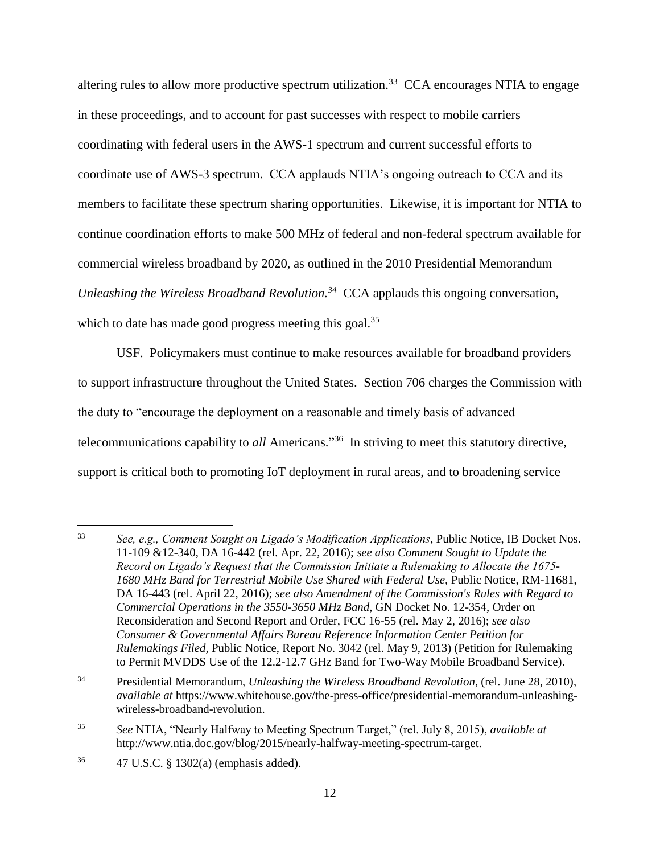altering rules to allow more productive spectrum utilization.<sup>33</sup> CCA encourages NTIA to engage in these proceedings, and to account for past successes with respect to mobile carriers coordinating with federal users in the AWS-1 spectrum and current successful efforts to coordinate use of AWS-3 spectrum. CCA applauds NTIA's ongoing outreach to CCA and its members to facilitate these spectrum sharing opportunities. Likewise, it is important for NTIA to continue coordination efforts to make 500 MHz of federal and non-federal spectrum available for commercial wireless broadband by 2020, as outlined in the 2010 Presidential Memorandum *Unleashing the Wireless Broadband Revolution.<sup>34</sup>* CCA applauds this ongoing conversation, which to date has made good progress meeting this goal.<sup>35</sup>

USF. Policymakers must continue to make resources available for broadband providers to support infrastructure throughout the United States. Section 706 charges the Commission with the duty to "encourage the deployment on a reasonable and timely basis of advanced telecommunications capability to *all* Americans." 36 In striving to meet this statutory directive, support is critical both to promoting IoT deployment in rural areas, and to broadening service

<sup>33</sup> <sup>33</sup> *See, e.g., Comment Sought on Ligado's Modification Applications*, Public Notice, IB Docket Nos. 11-109 &12-340, DA 16-442 (rel. Apr. 22, 2016); *see also Comment Sought to Update the Record on Ligado's Request that the Commission Initiate a Rulemaking to Allocate the 1675- 1680 MHz Band for Terrestrial Mobile Use Shared with Federal Use,* Public Notice, RM-11681, DA 16-443 (rel. April 22, 2016); *see also Amendment of the Commission's Rules with Regard to Commercial Operations in the 3550-3650 MHz Band*, GN Docket No. 12-354, Order on Reconsideration and Second Report and Order, FCC 16-55 (rel. May 2, 2016); *see also Consumer & Governmental Affairs Bureau Reference Information Center Petition for Rulemakings Filed,* Public Notice, Report No. 3042 (rel. May 9, 2013) (Petition for Rulemaking to Permit MVDDS Use of the 12.2-12.7 GHz Band for Two-Way Mobile Broadband Service).

<sup>34</sup> Presidential Memorandum, *Unleashing the Wireless Broadband Revolution*, (rel. June 28, 2010), *available at* https://www.whitehouse.gov/the-press-office/presidential-memorandum-unleashingwireless-broadband-revolution.

<sup>35</sup> *See* NTIA, "Nearly Halfway to Meeting Spectrum Target," (rel. July 8, 2015), *available at* http://www.ntia.doc.gov/blog/2015/nearly-halfway-meeting-spectrum-target.

<sup>36</sup> 47 U.S.C. § 1302(a) (emphasis added).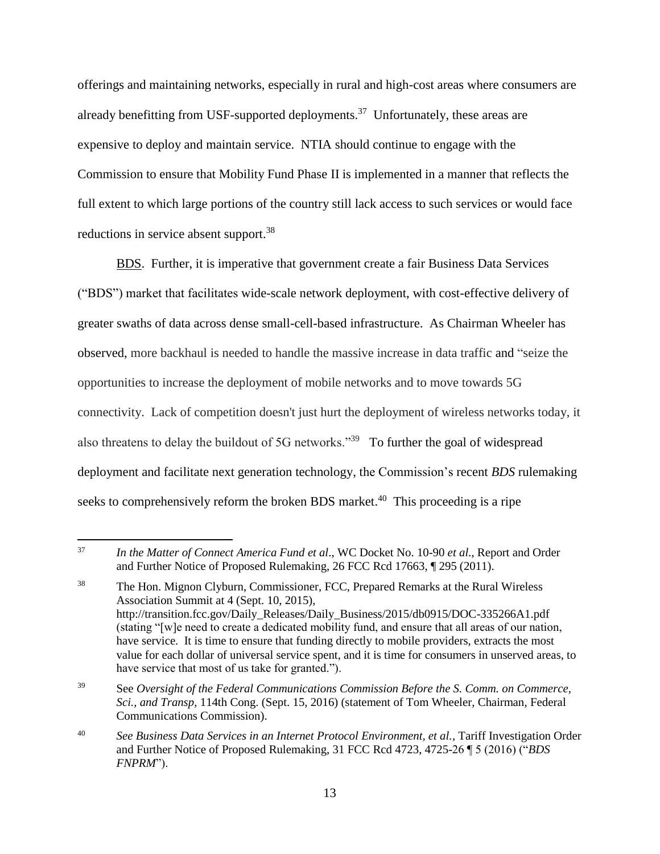offerings and maintaining networks, especially in rural and high-cost areas where consumers are already benefitting from USF-supported deployments.<sup>37</sup> Unfortunately, these areas are expensive to deploy and maintain service. NTIA should continue to engage with the Commission to ensure that Mobility Fund Phase II is implemented in a manner that reflects the full extent to which large portions of the country still lack access to such services or would face reductions in service absent support.<sup>38</sup>

BDS. Further, it is imperative that government create a fair Business Data Services ("BDS") market that facilitates wide-scale network deployment, with cost-effective delivery of greater swaths of data across dense small-cell-based infrastructure. As Chairman Wheeler has observed, more backhaul is needed to handle the massive increase in data traffic and "seize the opportunities to increase the deployment of mobile networks and to move towards 5G connectivity. Lack of competition doesn't just hurt the deployment of wireless networks today, it also threatens to delay the buildout of 5G networks."<sup>39</sup> To further the goal of widespread deployment and facilitate next generation technology, the Commission's recent *BDS* rulemaking seeks to comprehensively reform the broken BDS market.<sup>40</sup> This proceeding is a ripe

<sup>39</sup> See *Oversight of the Federal Communications Commission Before the S. Comm. on Commerce, Sci., and Transp,* 114th Cong. (Sept. 15, 2016) (statement of Tom Wheeler, Chairman, Federal Communications Commission).

 $\overline{a}$ <sup>37</sup> *In the Matter of Connect America Fund et al*., WC Docket No. 10-90 *et al.*, Report and Order and Further Notice of Proposed Rulemaking, 26 FCC Rcd 17663, ¶ 295 (2011).

<sup>38</sup> The Hon. Mignon Clyburn, Commissioner, FCC, Prepared Remarks at the Rural Wireless Association Summit at 4 (Sept. 10, 2015), http://transition.fcc.gov/Daily\_Releases/Daily\_Business/2015/db0915/DOC-335266A1.pdf (stating "[w]e need to create a dedicated mobility fund, and ensure that all areas of our nation, have service. It is time to ensure that funding directly to mobile providers, extracts the most value for each dollar of universal service spent, and it is time for consumers in unserved areas, to have service that most of us take for granted.").

<sup>40</sup> *See Business Data Services in an Internet Protocol Environment, et al.*, Tariff Investigation Order and Further Notice of Proposed Rulemaking, 31 FCC Rcd 4723, 4725-26 ¶ 5 (2016) ("*BDS FNPRM*").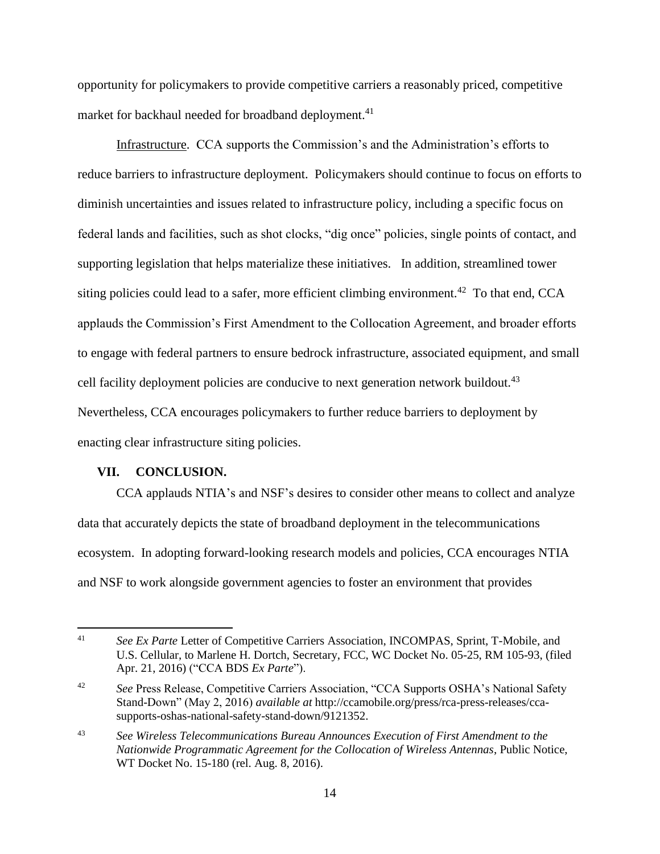opportunity for policymakers to provide competitive carriers a reasonably priced, competitive market for backhaul needed for broadband deployment.<sup>41</sup>

Infrastructure. CCA supports the Commission's and the Administration's efforts to reduce barriers to infrastructure deployment. Policymakers should continue to focus on efforts to diminish uncertainties and issues related to infrastructure policy, including a specific focus on federal lands and facilities, such as shot clocks, "dig once" policies, single points of contact, and supporting legislation that helps materialize these initiatives. In addition, streamlined tower siting policies could lead to a safer, more efficient climbing environment.<sup>42</sup> To that end, CCA applauds the Commission's First Amendment to the Collocation Agreement, and broader efforts to engage with federal partners to ensure bedrock infrastructure, associated equipment, and small cell facility deployment policies are conducive to next generation network buildout.<sup>43</sup> Nevertheless, CCA encourages policymakers to further reduce barriers to deployment by enacting clear infrastructure siting policies.

#### <span id="page-15-0"></span>**VII. CONCLUSION.**

 $\overline{a}$ 

CCA applauds NTIA's and NSF's desires to consider other means to collect and analyze data that accurately depicts the state of broadband deployment in the telecommunications ecosystem. In adopting forward-looking research models and policies, CCA encourages NTIA and NSF to work alongside government agencies to foster an environment that provides

<sup>41</sup> *See Ex Parte* Letter of Competitive Carriers Association, INCOMPAS, Sprint, T-Mobile, and U.S. Cellular, to Marlene H. Dortch, Secretary, FCC, WC Docket No. 05-25, RM 105-93, (filed Apr. 21, 2016) ("CCA BDS *Ex Parte*").

<sup>&</sup>lt;sup>42</sup> See Press Release, Competitive Carriers Association, "CCA Supports OSHA's National Safety Stand-Down" (May 2, 2016) *available at* http://ccamobile.org/press/rca-press-releases/ccasupports-oshas-national-safety-stand-down/9121352.

<sup>43</sup> *See Wireless Telecommunications Bureau Announces Execution of First Amendment to the Nationwide Programmatic Agreement for the Collocation of Wireless Antennas*, Public Notice, WT Docket No. 15-180 (rel. Aug. 8, 2016).